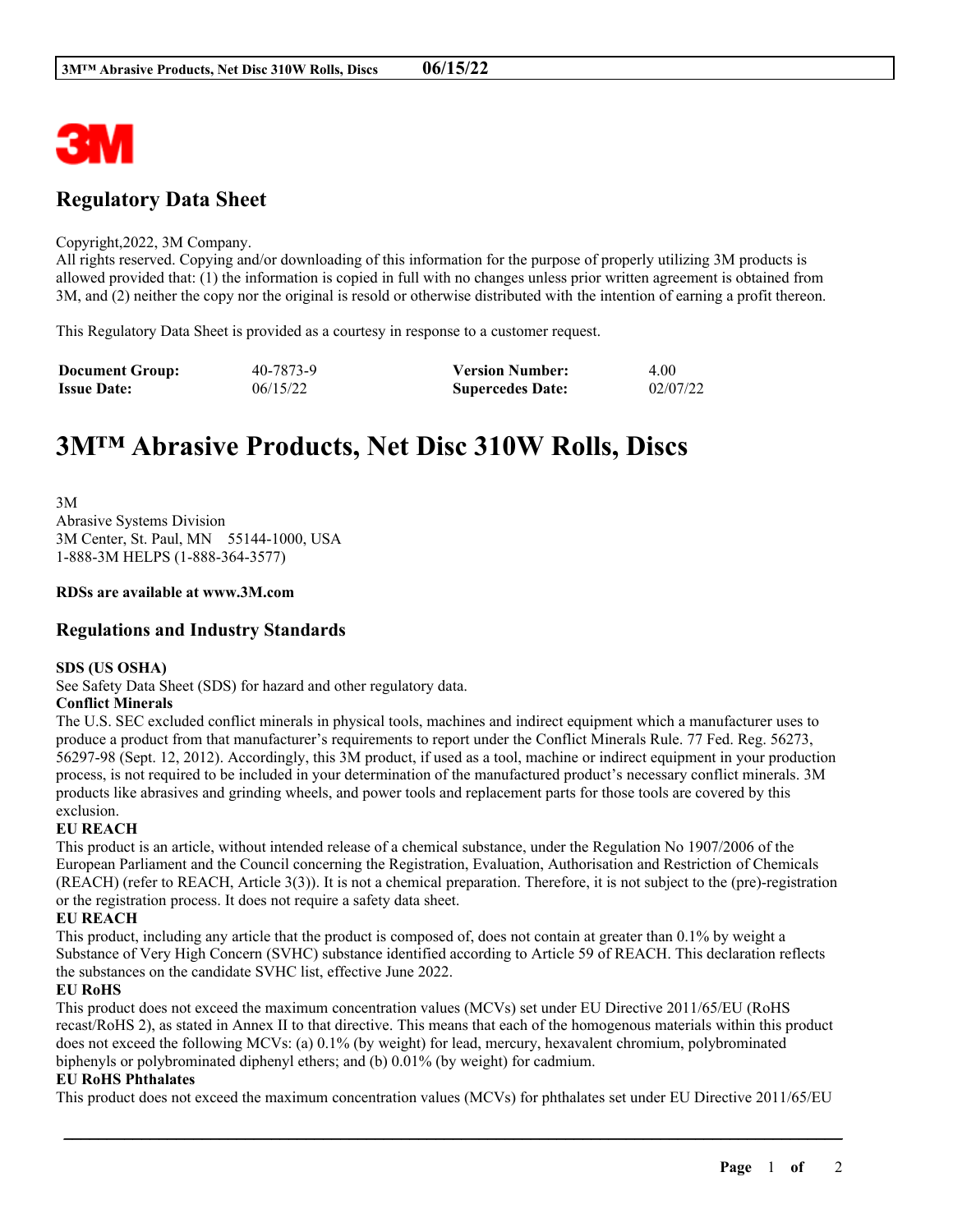

# **Regulatory Data Sheet**

### Copyright,2022, 3M Company.

All rights reserved. Copying and/or downloading of this information for the purpose of properly utilizing 3M products is allowed provided that: (1) the information is copied in full with no changes unless prior written agreement is obtained from 3M, and (2) neither the copy nor the original is resold or otherwise distributed with the intention of earning a profit thereon.

This Regulatory Data Sheet is provided as a courtesy in response to a customer request.

| <b>Document Group:</b> | 40-7873-9 | <b>Version Number:</b>  | 4.00     |
|------------------------|-----------|-------------------------|----------|
| <b>Issue Date:</b>     | 06/15/22  | <b>Supercedes Date:</b> | 02/07/22 |

# **3M™ Abrasive Products, Net Disc 310W Rolls, Discs**

3M Abrasive Systems Division 3M Center, St. Paul, MN 55144-1000, USA 1-888-3M HELPS (1-888-364-3577)

# **RDSs are available at www.3M.com**

# **Regulations and Industry Standards**

### **SDS (US OSHA)**

See Safety Data Sheet (SDS) for hazard and other regulatory data.

# **Conflict Minerals**

The U.S. SEC excluded conflict minerals in physical tools, machines and indirect equipment which a manufacturer uses to produce a product from that manufacturer's requirements to report under the Conflict Minerals Rule. 77 Fed. Reg. 56273, 56297-98 (Sept. 12, 2012). Accordingly, this 3M product, if used as a tool, machine or indirect equipment in your production process, is not required to be included in your determination of the manufactured product's necessary conflict minerals. 3M products like abrasives and grinding wheels, and power tools and replacement parts for those tools are covered by this exclusion.

# **EU REACH**

This product is an article, without intended release of a chemical substance, under the Regulation No 1907/2006 of the European Parliament and the Council concerning the Registration, Evaluation, Authorisation and Restriction of Chemicals (REACH) (refer to REACH, Article 3(3)). It is not a chemical preparation. Therefore, it is not subject to the (pre)-registration or the registration process. It does not require a safety data sheet.

# **EU REACH**

This product, including any article that the product is composed of, does not contain at greater than 0.1% by weight a Substance of Very High Concern (SVHC) substance identified according to Article 59 of REACH. This declaration reflects the substances on the candidate SVHC list, effective June 2022.

### **EU RoHS**

This product does not exceed the maximum concentration values (MCVs) set under EU Directive 2011/65/EU (RoHS recast/RoHS 2), as stated in Annex II to that directive. This means that each of the homogenous materials within this product does not exceed the following MCVs: (a) 0.1% (by weight) for lead, mercury, hexavalent chromium, polybrominated biphenyls or polybrominated diphenyl ethers; and (b) 0.01% (by weight) for cadmium.

### **EU RoHS Phthalates**

This product does not exceed the maximum concentration values (MCVs) for phthalates set under EU Directive 2011/65/EU

\_\_\_\_\_\_\_\_\_\_\_\_\_\_\_\_\_\_\_\_\_\_\_\_\_\_\_\_\_\_\_\_\_\_\_\_\_\_\_\_\_\_\_\_\_\_\_\_\_\_\_\_\_\_\_\_\_\_\_\_\_\_\_\_\_\_\_\_\_\_\_\_\_\_\_\_\_\_\_\_\_\_\_\_\_\_\_\_\_\_